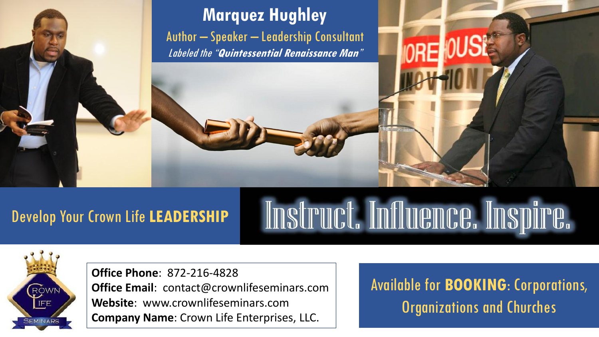

## Develop Your Crown Life **LEADERSHIP**

# Instruct. Influence. Inspire.



**Office Phone**: 872-216-4828 **Office Email**: contact@crownlifeseminars.com **Website**: www.crownlifeseminars.com **Company Name**: Crown Life Enterprises, LLC.

Available for **BOOKING**: Corporations, Organizations and Churches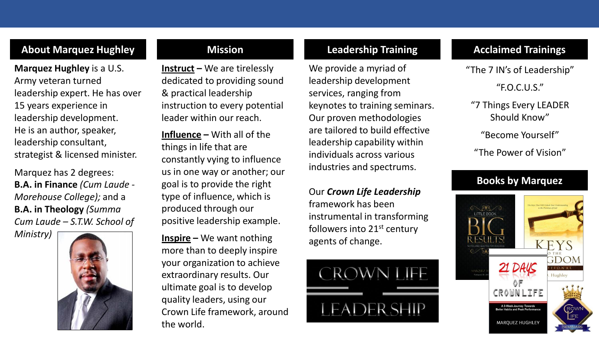## **About Marquez Hughley Mission Leadership Training Acclaimed Trainings**

**Marquez Hughley** is a U.S. Army veteran turned leadership expert. He has over 15 years experience in leadership development. He is an author, speaker, leadership consultant, strategist & licensed minister.

Marquez has 2 degrees: **B.A. in Finance** *(Cum Laude - Morehouse College);* and a **B.A. in Theology** *(Summa Cum Laude – S.T.W. School of* 

*Ministry)*



**Instruct –** We are tirelessly dedicated to providing sound & practical leadership instruction to every potential leader within our reach.

**Influence –** With all of the things in life that are constantly vying to influence us in one way or another; our goal is to provide the right type of influence, which is produced through our positive leadership example.

**Inspire –** We want nothing more than to deeply inspire your organization to achieve extraordinary results. Our ultimate goal is to develop quality leaders, using our Crown Life framework, around the world.

We provide a myriad of leadership development services, ranging from keynotes to training seminars. Our proven methodologies are tailored to build effective leadership capability within individuals across various industries and spectrums.

Our *Crown Life Leadership*  framework has been instrumental in transforming followers into 21<sup>st</sup> century agents of change.



"The 7 IN's of Leadership" "F.O.C.U.S."

"7 Things Every LEADER Should Know"

"Become Yourself"

"The Power of Vision"

## **Books by Marquez**